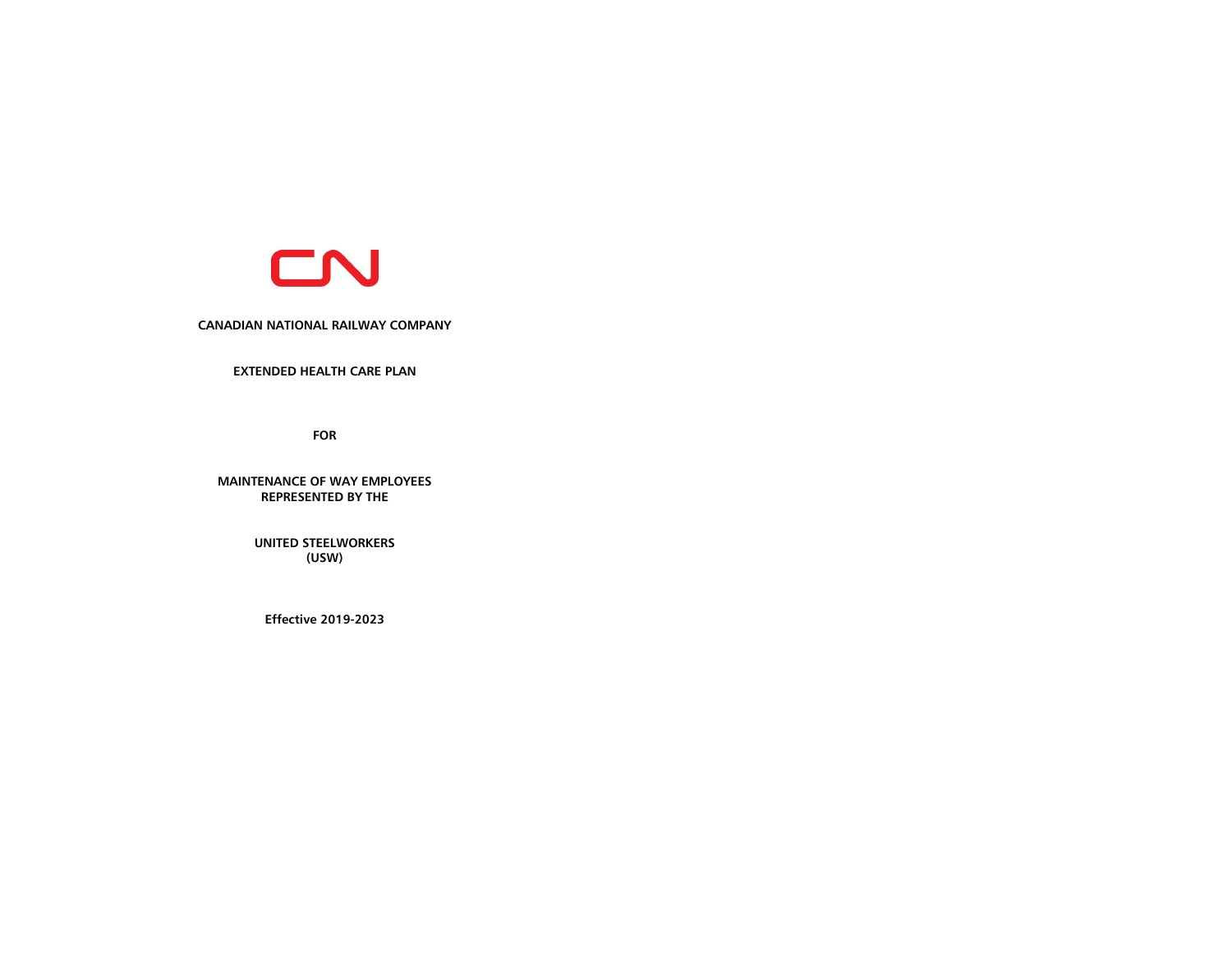

**CANADIAN NATIONAL RAILWAY COMPANY**

**EXTENDED HEALTH CARE PLAN** 

**FOR**

**MAINTENANCE OF WAY EMPLOYEES REPRESENTED BY THE**

> **UNITED STEELWORKERS (USW)**

**Effective 2019-2023**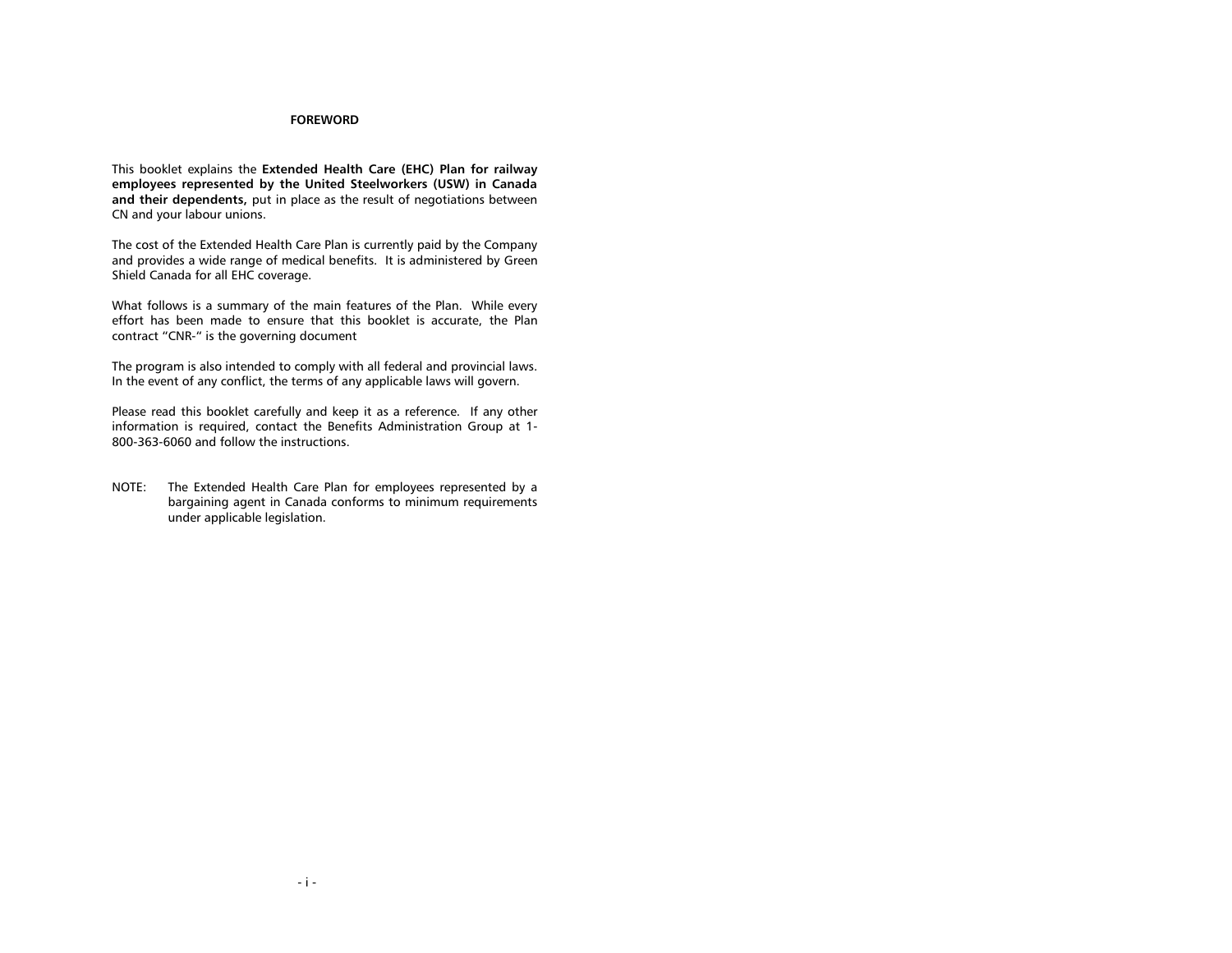# **FOREWORD**

This booklet explains the **Extended Health Care (EHC) Plan for railway employees represented by the United Steelworkers (USW) in Canada and their dependents,** put in place as the result of negotiations between CN and your labour unions.

The cost of the Extended Health Care Plan is currently paid by the Company and provides a wide range of medical benefits. It is administered by Green Shield Canada for all EHC coverage.

What follows is a summary of the main features of the Plan. While every effort has been made to ensure that this booklet is accurate, the Plan contract "CNR-" is the governing document

The program is also intended to comply with all federal and provincial laws. In the event of any conflict, the terms of any applicable laws will govern.

Please read this booklet carefully and keep it as a reference. If any other information is required, contact the Benefits Administration Group at 1- 800-363-6060 and follow the instructions.

NOTE: The Extended Health Care Plan for employees represented by a bargaining agent in Canada conforms to minimum requirements under applicable legislation.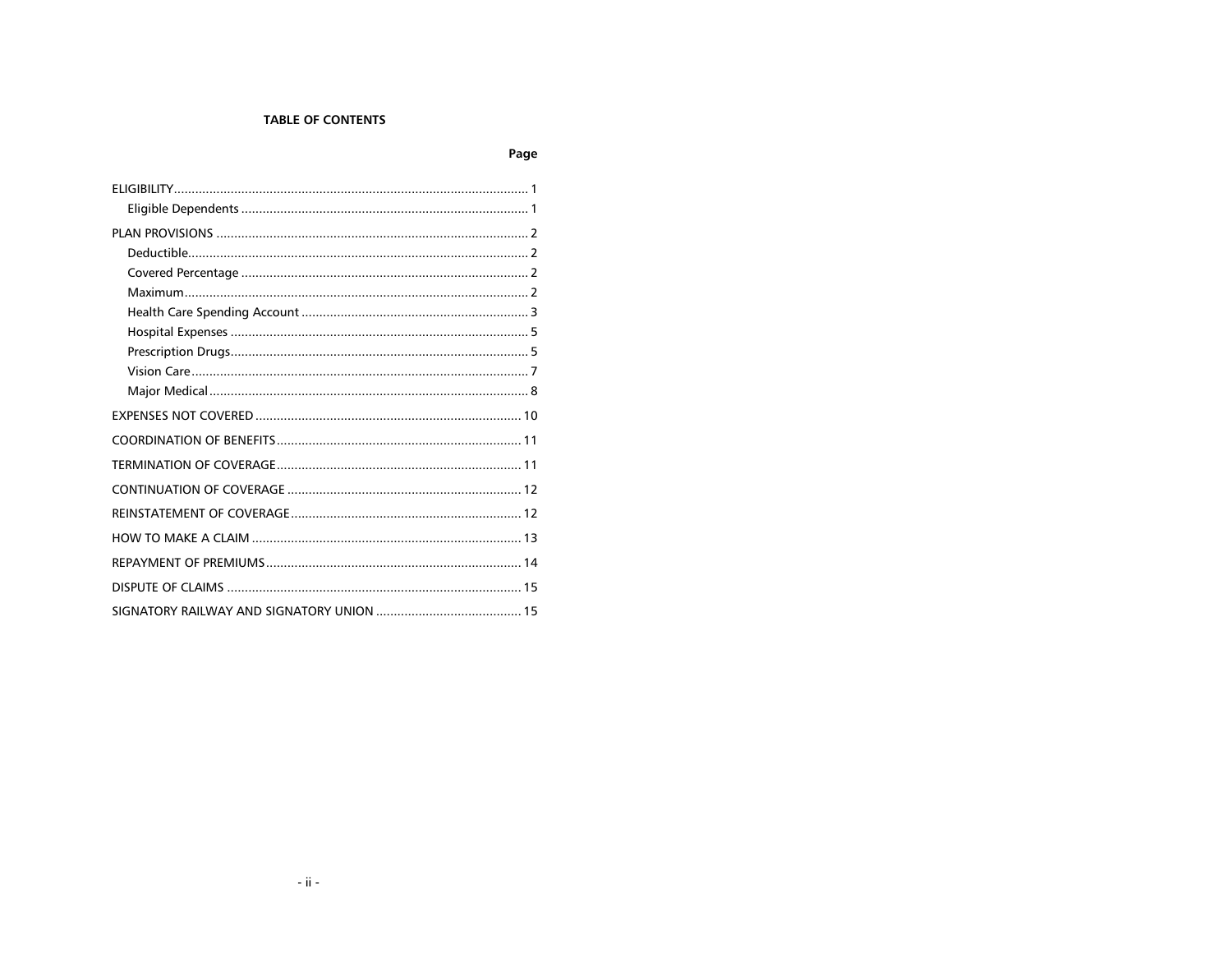# **TABLE OF CONTENTS**

Page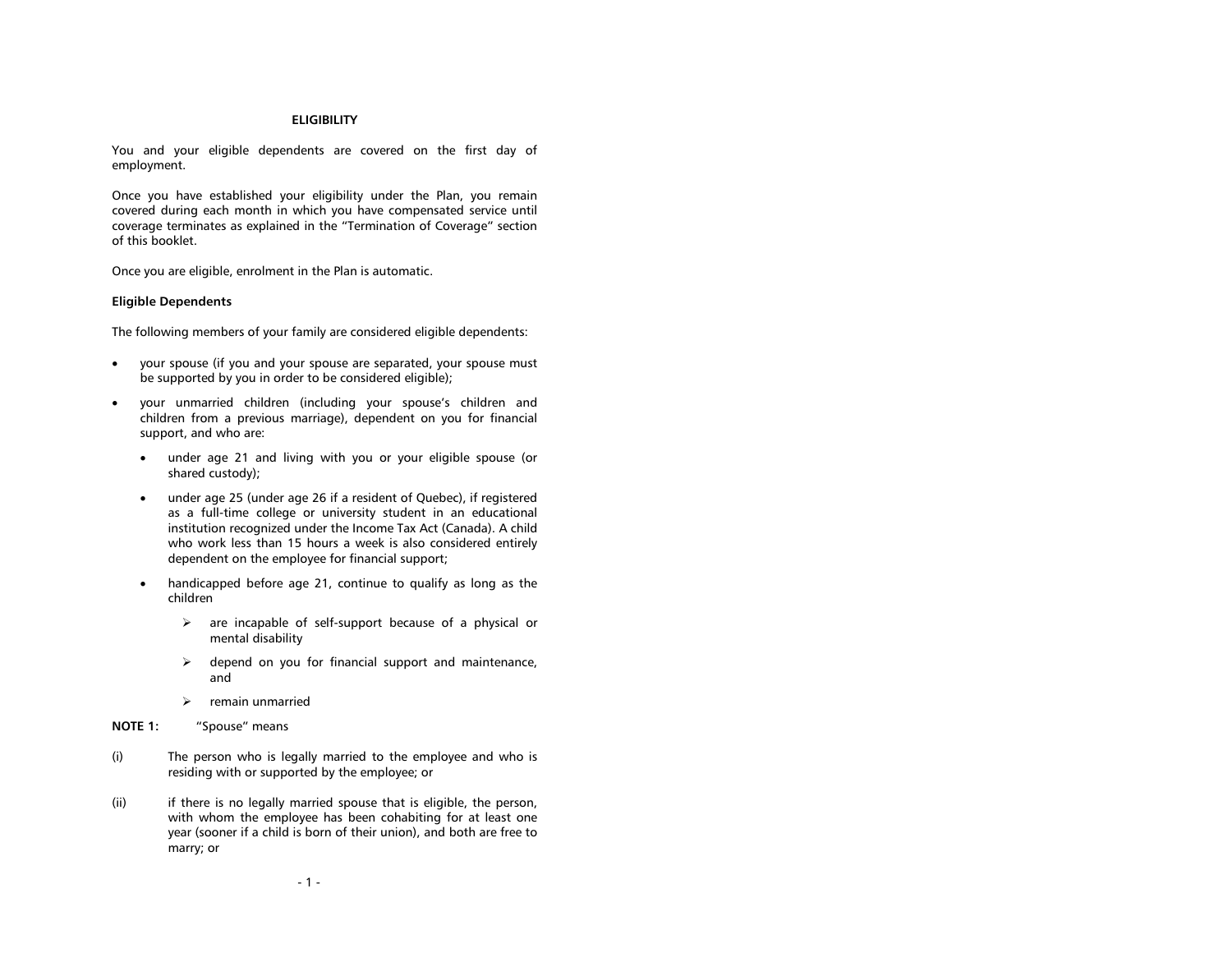#### **ELIGIBILITY**

<span id="page-3-0"></span>You and your eligible dependents are covered on the first day of employment.

Once you have established your eligibility under the Plan, you remain covered during each month in which you have compensated service until coverage terminates as explained in the "Termination of Coverage" section of this booklet.

Once you are eligible, enrolment in the Plan is automatic.

## <span id="page-3-1"></span>**Eligible Dependents**

The following members of your family are considered eligible dependents:

- your spouse (if you and your spouse are separated, your spouse must be supported by you in order to be considered eligible);
- your unmarried children (including your spouse's children and children from a previous marriage), dependent on you for financial support, and who are:
	- under age 21 and living with you or your eligible spouse (or shared custody);
	- under age 25 (under age 26 if a resident of Quebec), if registered as a full-time college or university student in an educational institution recognized under the Income Tax Act (Canada). A child who work less than 15 hours a week is also considered entirely dependent on the employee for financial support;
	- handicapped before age 21, continue to qualify as long as the children
		- $\triangleright$  are incapable of self-support because of a physical or mental disability
		- $\triangleright$  depend on you for financial support and maintenance, and
		- $\triangleright$  remain unmarried
- **NOTE 1:** "Spouse" means
- (i) The person who is legally married to the employee and who is residing with or supported by the employee; or
- (ii) if there is no legally married spouse that is eligible, the person, with whom the employee has been cohabiting for at least one year (sooner if a child is born of their union), and both are free to marry; or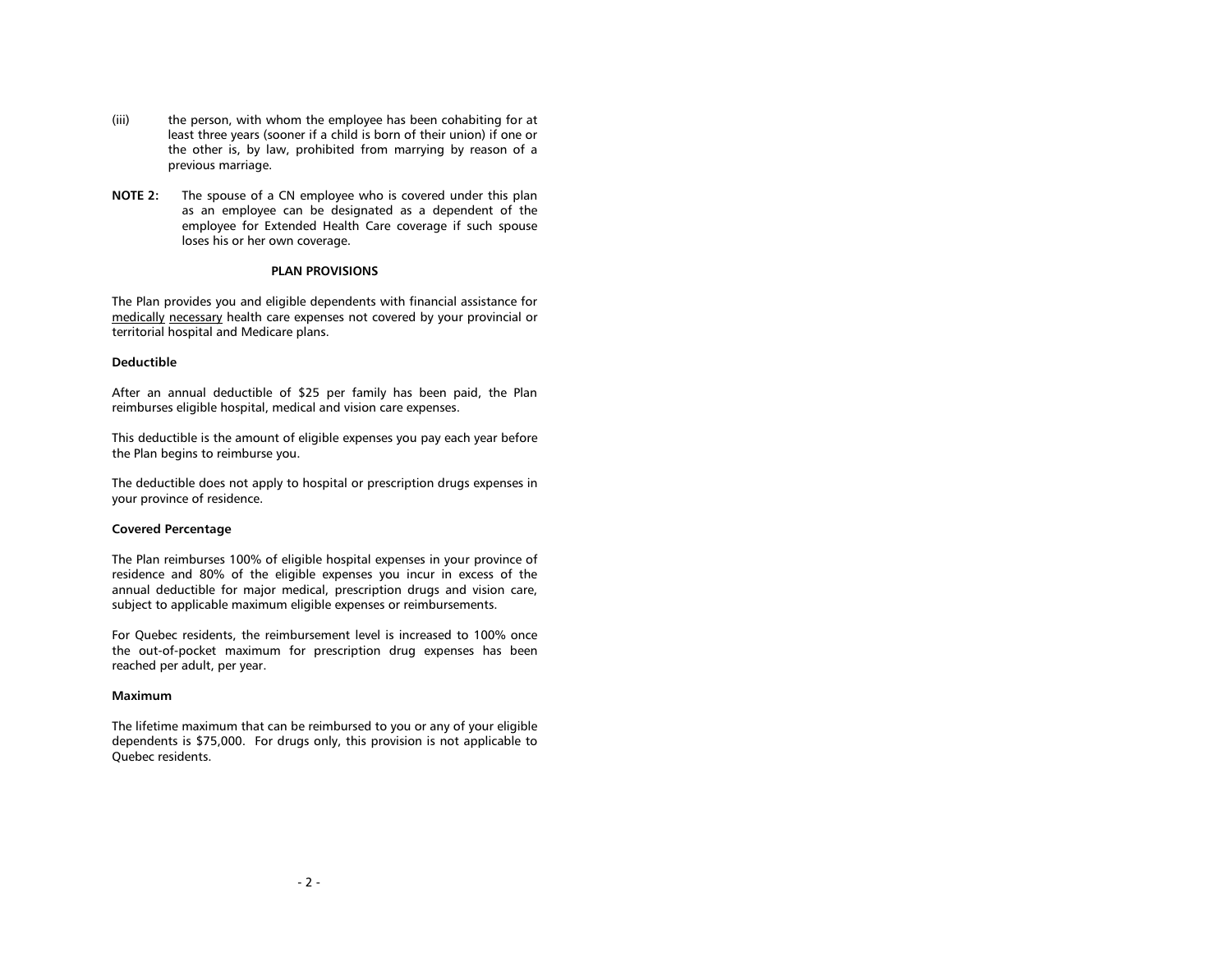- (iii) the person, with whom the employee has been cohabiting for at least three years (sooner if a child is born of their union) if one or the other is, by law, prohibited from marrying by reason of a previous marriage.
- **NOTE 2:** The spouse of a CN employee who is covered under this plan as an employee can be designated as a dependent of the employee for Extended Health Care coverage if such spouse loses his or her own coverage.

#### **PLAN PROVISIONS**

<span id="page-4-0"></span>The Plan provides you and eligible dependents with financial assistance for medically necessary health care expenses not covered by your provincial or territorial hospital and Medicare plans.

# <span id="page-4-1"></span>**Deductible**

After an annual deductible of \$25 per family has been paid, the Plan reimburses eligible hospital, medical and vision care expenses.

This deductible is the amount of eligible expenses you pay each year before the Plan begins to reimburse you.

The deductible does not apply to hospital or prescription drugs expenses in your province of residence.

# <span id="page-4-2"></span>**Covered Percentage**

The Plan reimburses 100% of eligible hospital expenses in your province of residence and 80% of the eligible expenses you incur in excess of the annual deductible for major medical, prescription drugs and vision care, subject to applicable maximum eligible expenses or reimbursements.

For Quebec residents, the reimbursement level is increased to 100% once the out-of-pocket maximum for prescription drug expenses has been reached per adult, per year.

#### <span id="page-4-3"></span>**Maximum**

The lifetime maximum that can be reimbursed to you or any of your eligible dependents is \$75,000. For drugs only, this provision is not applicable to Quebec residents.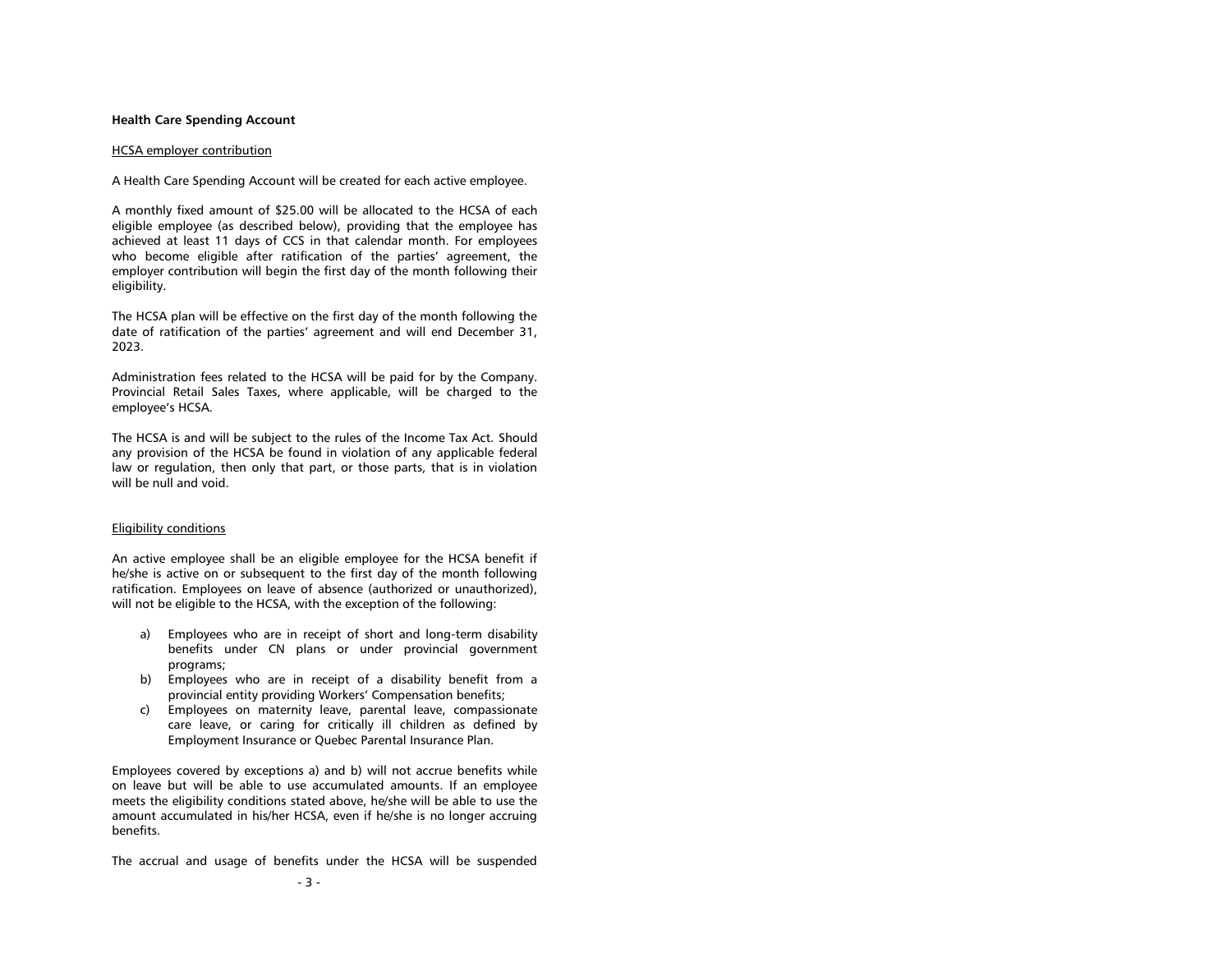#### <span id="page-5-0"></span>**Health Care Spending Account**

#### HCSA employer contribution

A Health Care Spending Account will be created for each active employee.

A monthly fixed amount of \$25.00 will be allocated to the HCSA of each eligible employee (as described below), providing that the employee has achieved at least 11 days of CCS in that calendar month. For employees who become eligible after ratification of the parties' agreement, the employer contribution will begin the first day of the month following their eligibility.

The HCSA plan will be effective on the first day of the month following the date of ratification of the parties' agreement and will end December 31, 2023.

Administration fees related to the HCSA will be paid for by the Company. Provincial Retail Sales Taxes, where applicable, will be charged to the employee's HCSA.

The HCSA is and will be subject to the rules of the Income Tax Act. Should any provision of the HCSA be found in violation of any applicable federal law or regulation, then only that part, or those parts, that is in violation will be null and void.

#### Eligibility conditions

An active employee shall be an eligible employee for the HCSA benefit if he/she is active on or subsequent to the first day of the month following ratification. Employees on leave of absence (authorized or unauthorized), will not be eligible to the HCSA, with the exception of the following:

- a) Employees who are in receipt of short and long-term disability benefits under CN plans or under provincial government programs;
- b) Employees who are in receipt of a disability benefit from a provincial entity providing Workers' Compensation benefits;
- c) Employees on maternity leave, parental leave, compassionate care leave, or caring for critically ill children as defined by Employment Insurance or Quebec Parental Insurance Plan.

Employees covered by exceptions a) and b) will not accrue benefits while on leave but will be able to use accumulated amounts. If an employee meets the eligibility conditions stated above, he/she will be able to use the amount accumulated in his/her HCSA, even if he/she is no longer accruing benefits.

The accrual and usage of benefits under the HCSA will be suspended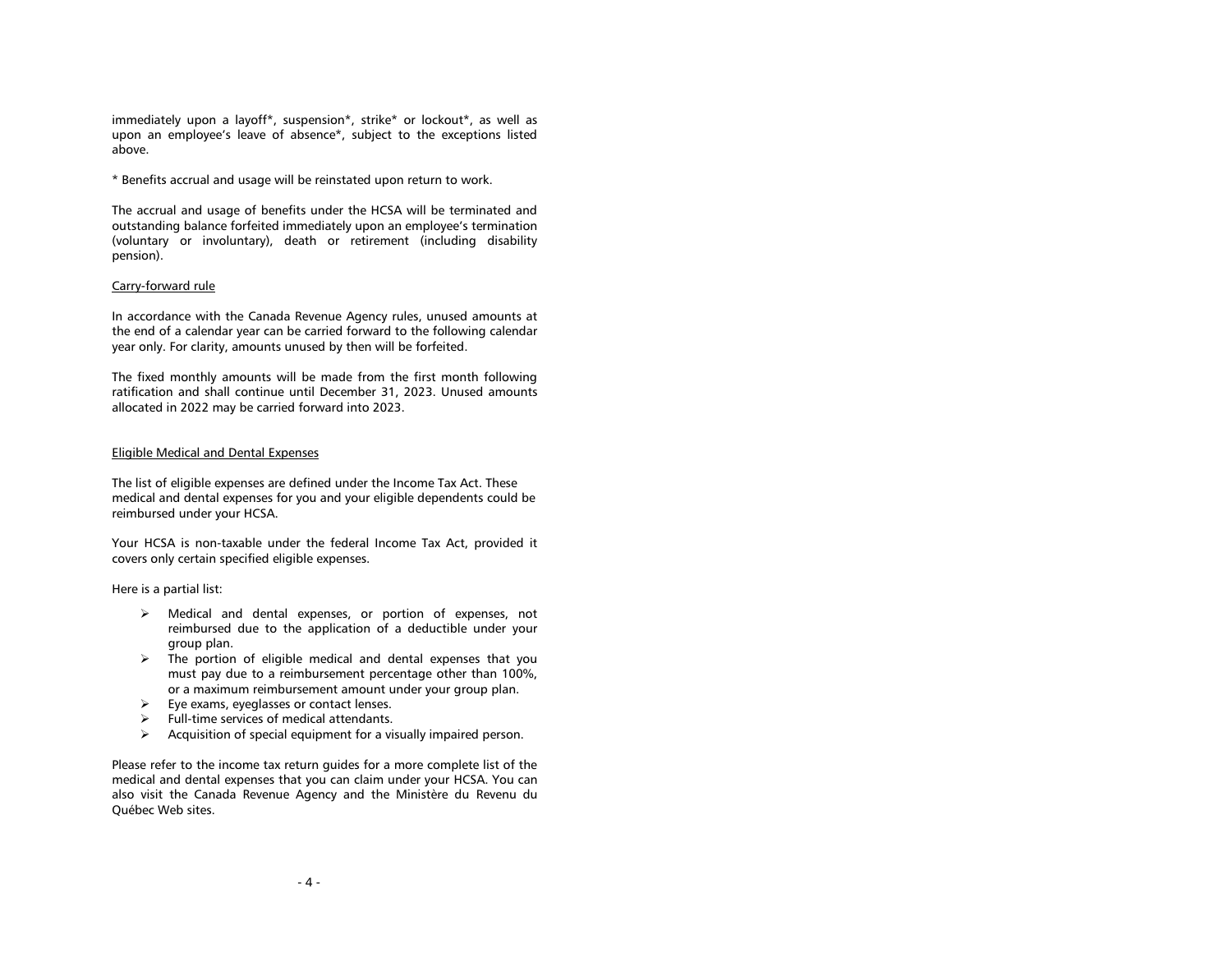immediately upon a layoff\*, suspension\*, strike\* or lockout\*, as well as upon an employee's leave of absence\*, subject to the exceptions listed above.

\* Benefits accrual and usage will be reinstated upon return to work.

The accrual and usage of benefits under the HCSA will be terminated and outstanding balance forfeited immediately upon an employee's termination (voluntary or involuntary), death or retirement (including disability pension).

# Carry-forward rule

In accordance with the Canada Revenue Agency rules, unused amounts at the end of a calendar year can be carried forward to the following calendar year only. For clarity, amounts unused by then will be forfeited.

The fixed monthly amounts will be made from the first month following ratification and shall continue until December 31, 2023. Unused amounts allocated in 2022 may be carried forward into 2023.

## Eligible Medical and Dental Expenses

The list of eligible expenses are defined under the Income Tax Act. These medical and dental expenses for you and your eligible dependents could be reimbursed under your HCSA.

Your HCSA is non-taxable under the federal Income Tax Act, provided it covers only certain specified eligible expenses.

Here is a partial list:

- Medical and dental expenses, or portion of expenses, not reimbursed due to the application of a deductible under your group plan.
- $\triangleright$  The portion of eligible medical and dental expenses that you must pay due to a reimbursement percentage other than 100%, or a maximum reimbursement amount under your group plan.
- $\triangleright$  Eye exams, eyeglasses or contact lenses.
- $\triangleright$  Full-time services of medical attendants.
- $\triangleright$  Acquisition of special equipment for a visually impaired person.

Please refer to the income tax return guides for a more complete list of the medical and dental expenses that you can claim under your HCSA. You can also visit the Canada Revenue Agency and the Ministère du Revenu du Québec Web sites.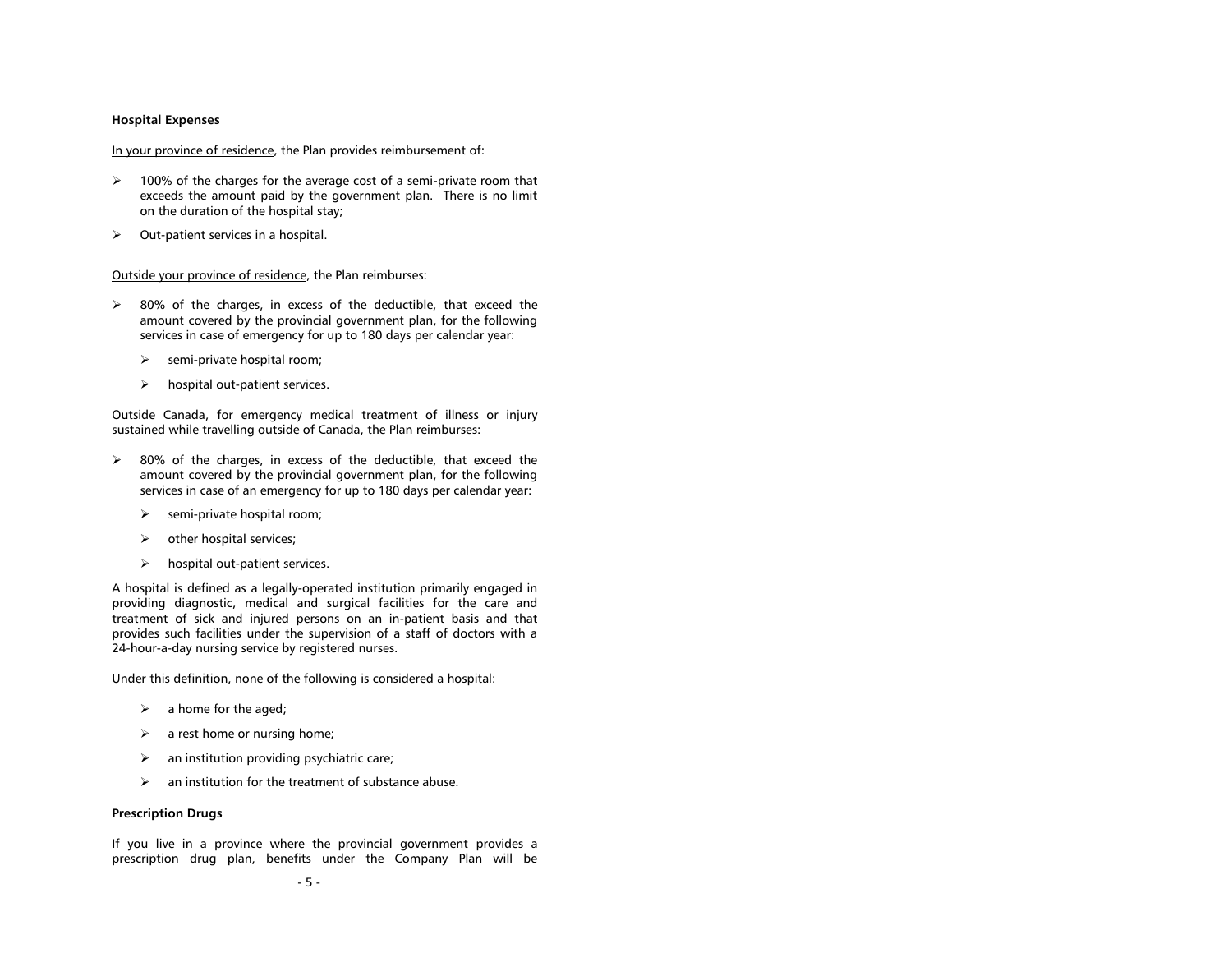#### <span id="page-7-0"></span>**Hospital Expenses**

# In your province of residence, the Plan provides reimbursement of:

- $\geq$  100% of the charges for the average cost of a semi-private room that exceeds the amount paid by the government plan. There is no limit on the duration of the hospital stay;
- $\triangleright$  Out-patient services in a hospital.

# Outside your province of residence, the Plan reimburses:

- $\geq$  80% of the charges, in excess of the deductible, that exceed the amount covered by the provincial government plan, for the following services in case of emergency for up to 180 days per calendar year:
	- $\triangleright$  semi-private hospital room;
	- $\triangleright$  hospital out-patient services.

Outside Canada, for emergency medical treatment of illness or injury sustained while travelling outside of Canada, the Plan reimburses:

- $\geq$  80% of the charges, in excess of the deductible, that exceed the amount covered by the provincial government plan, for the following services in case of an emergency for up to 180 days per calendar year:
	- $\triangleright$  semi-private hospital room;
	- $\triangleright$  other hospital services;
	- $\triangleright$  hospital out-patient services.

A hospital is defined as a legally-operated institution primarily engaged in providing diagnostic, medical and surgical facilities for the care and treatment of sick and injured persons on an in-patient basis and that provides such facilities under the supervision of a staff of doctors with a 24-hour-a-day nursing service by registered nurses.

Under this definition, none of the following is considered a hospital:

- $\triangleright$  a home for the aged;
- $\triangleright$  a rest home or nursing home;
- $\geq$  an institution providing psychiatric care;
- $\triangleright$  an institution for the treatment of substance abuse.

# <span id="page-7-1"></span>**Prescription Drugs**

If you live in a province where the provincial government provides a prescription drug plan, benefits under the Company Plan will be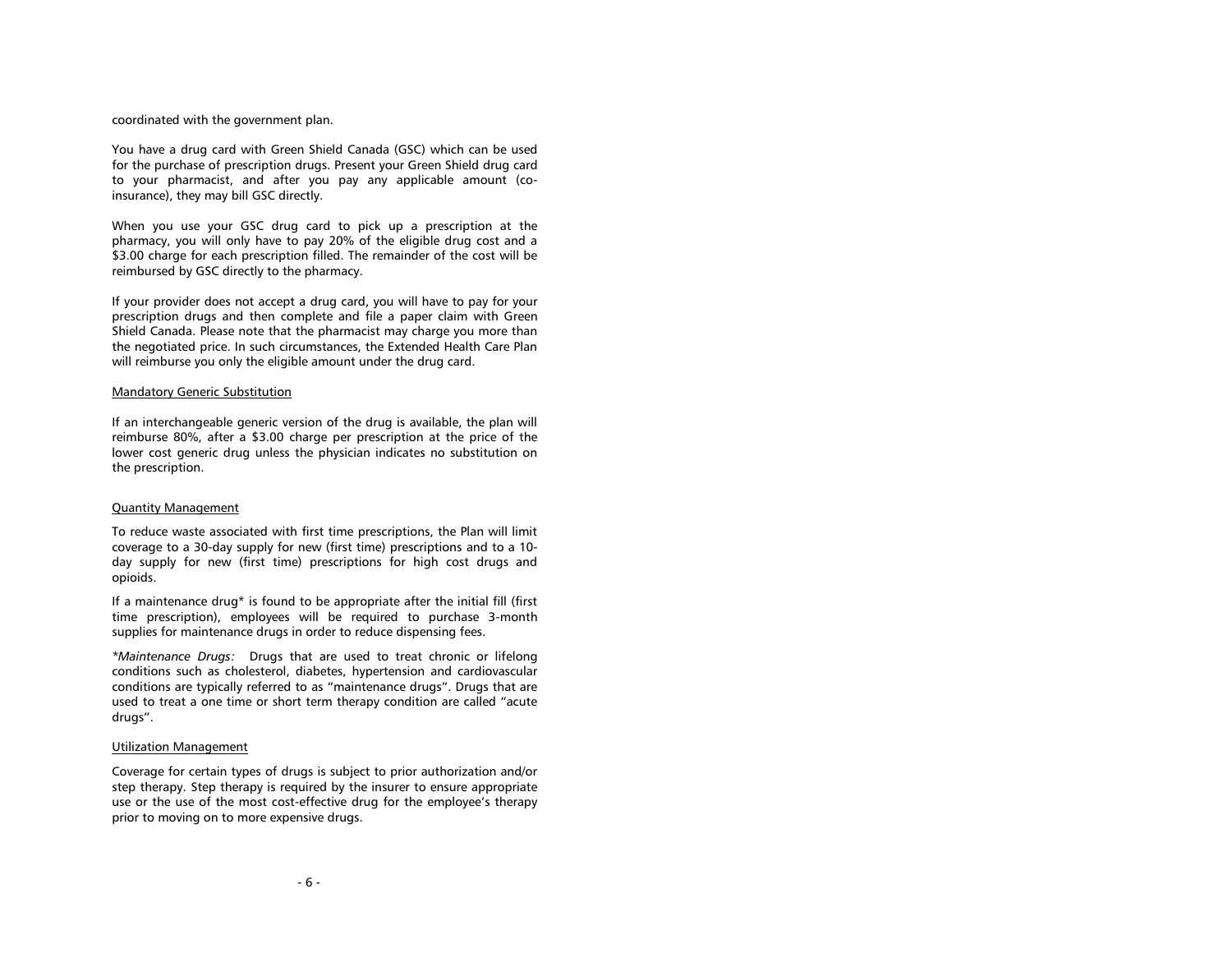coordinated with the government plan.

You have a drug card with Green Shield Canada (GSC) which can be used for the purchase of prescription drugs. Present your Green Shield drug card to your pharmacist, and after you pay any applicable amount (coinsurance), they may bill GSC directly.

When you use your GSC drug card to pick up a prescription at the pharmacy, you will only have to pay 20% of the eligible drug cost and a \$3.00 charge for each prescription filled. The remainder of the cost will be reimbursed by GSC directly to the pharmacy.

If your provider does not accept a drug card, you will have to pay for your prescription drugs and then complete and file a paper claim with Green Shield Canada. Please note that the pharmacist may charge you more than the negotiated price. In such circumstances, the Extended Health Care Plan will reimburse you only the eligible amount under the drug card.

### Mandatory Generic Substitution

If an interchangeable generic version of the drug is available, the plan will reimburse 80%, after a \$3.00 charge per prescription at the price of the lower cost generic drug unless the physician indicates no substitution on the prescription.

#### Quantity Management

To reduce waste associated with first time prescriptions, the Plan will limit coverage to a 30-day supply for new (first time) prescriptions and to a 10 day supply for new (first time) prescriptions for high cost drugs and opioids.

If a maintenance drug\* is found to be appropriate after the initial fill (first time prescription), employees will be required to purchase 3-month supplies for maintenance drugs in order to reduce dispensing fees.

*\*Maintenance Drugs:* Drugs that are used to treat chronic or lifelong conditions such as cholesterol, diabetes, hypertension and cardiovascular conditions are typically referred to as "maintenance drugs". Drugs that are used to treat a one time or short term therapy condition are called "acute drugs".

#### Utilization Management

Coverage for certain types of drugs is subject to prior authorization and/or step therapy. Step therapy is required by the insurer to ensure appropriate use or the use of the most cost-effective drug for the employee's therapy prior to moving on to more expensive drugs.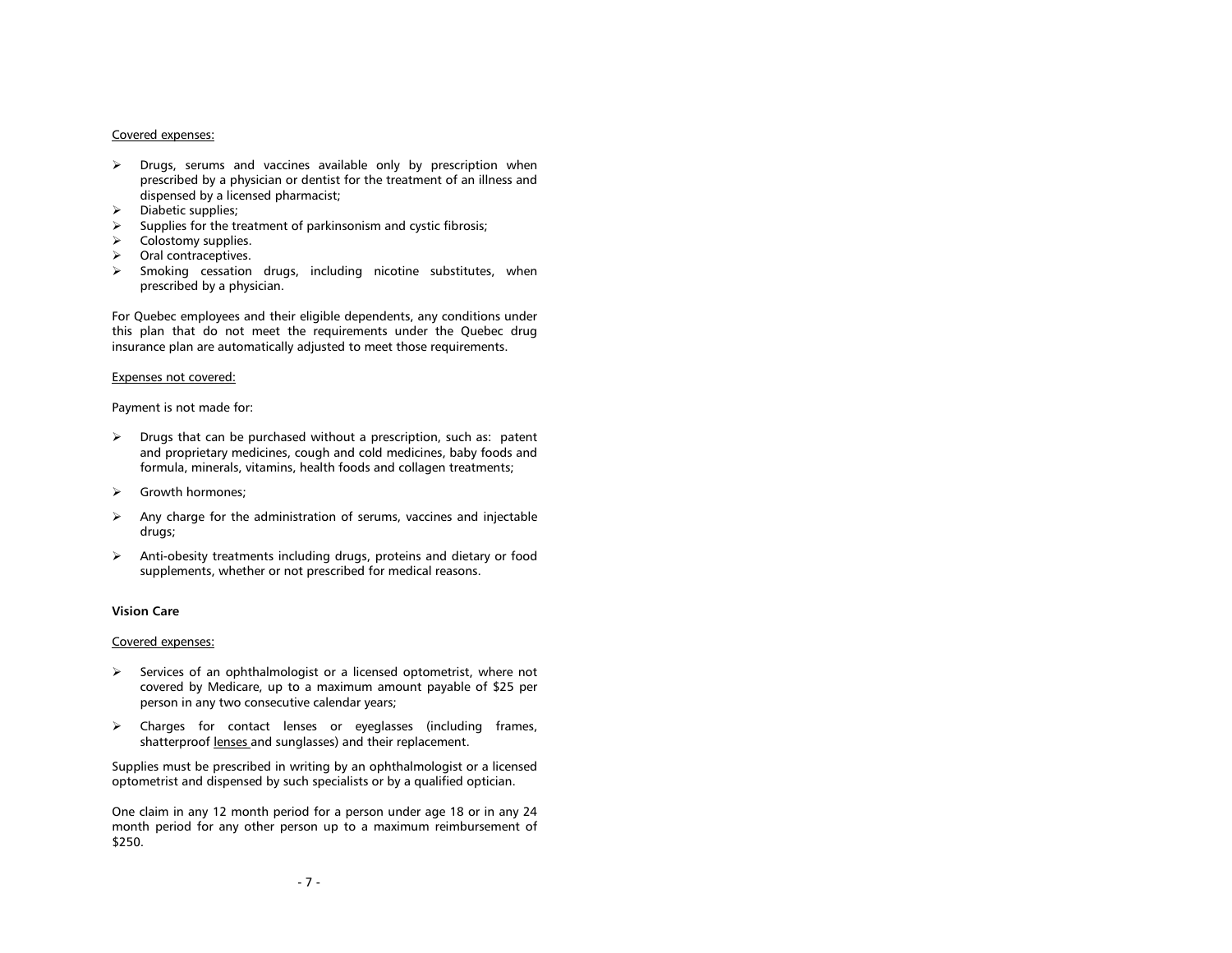#### Covered expenses:

- $\triangleright$  Drugs, serums and vaccines available only by prescription when prescribed by a physician or dentist for the treatment of an illness and dispensed by a licensed pharmacist;
- $\triangleright$  Diabetic supplies;
- $\triangleright$  Supplies for the treatment of parkinsonism and cystic fibrosis;
- $\triangleright$  Colostomy supplies.
- > Oral contraceptives.
- $\triangleright$  Smoking cessation drugs, including nicotine substitutes, when prescribed by a physician.

For Quebec employees and their eligible dependents, any conditions under this plan that do not meet the requirements under the Quebec drug insurance plan are automatically adjusted to meet those requirements.

#### Expenses not covered:

Payment is not made for:

- $\triangleright$  Drugs that can be purchased without a prescription, such as: patent and proprietary medicines, cough and cold medicines, baby foods and formula, minerals, vitamins, health foods and collagen treatments;
- > Growth hormones;
- $\triangleright$  Any charge for the administration of serums, vaccines and injectable drugs;
- $\triangleright$  Anti-obesity treatments including drugs, proteins and dietary or food supplements, whether or not prescribed for medical reasons.

# <span id="page-9-0"></span>**Vision Care**

#### Covered expenses:

- $\triangleright$  Services of an ophthalmologist or a licensed optometrist, where not covered by Medicare, up to a maximum amount payable of \$25 per person in any two consecutive calendar years;
- Charges for contact lenses or eyeglasses (including frames, shatterproof lenses and sunglasses) and their replacement.

Supplies must be prescribed in writing by an ophthalmologist or a licensed optometrist and dispensed by such specialists or by a qualified optician.

One claim in any 12 month period for a person under age 18 or in any 24 month period for any other person up to a maximum reimbursement of \$250.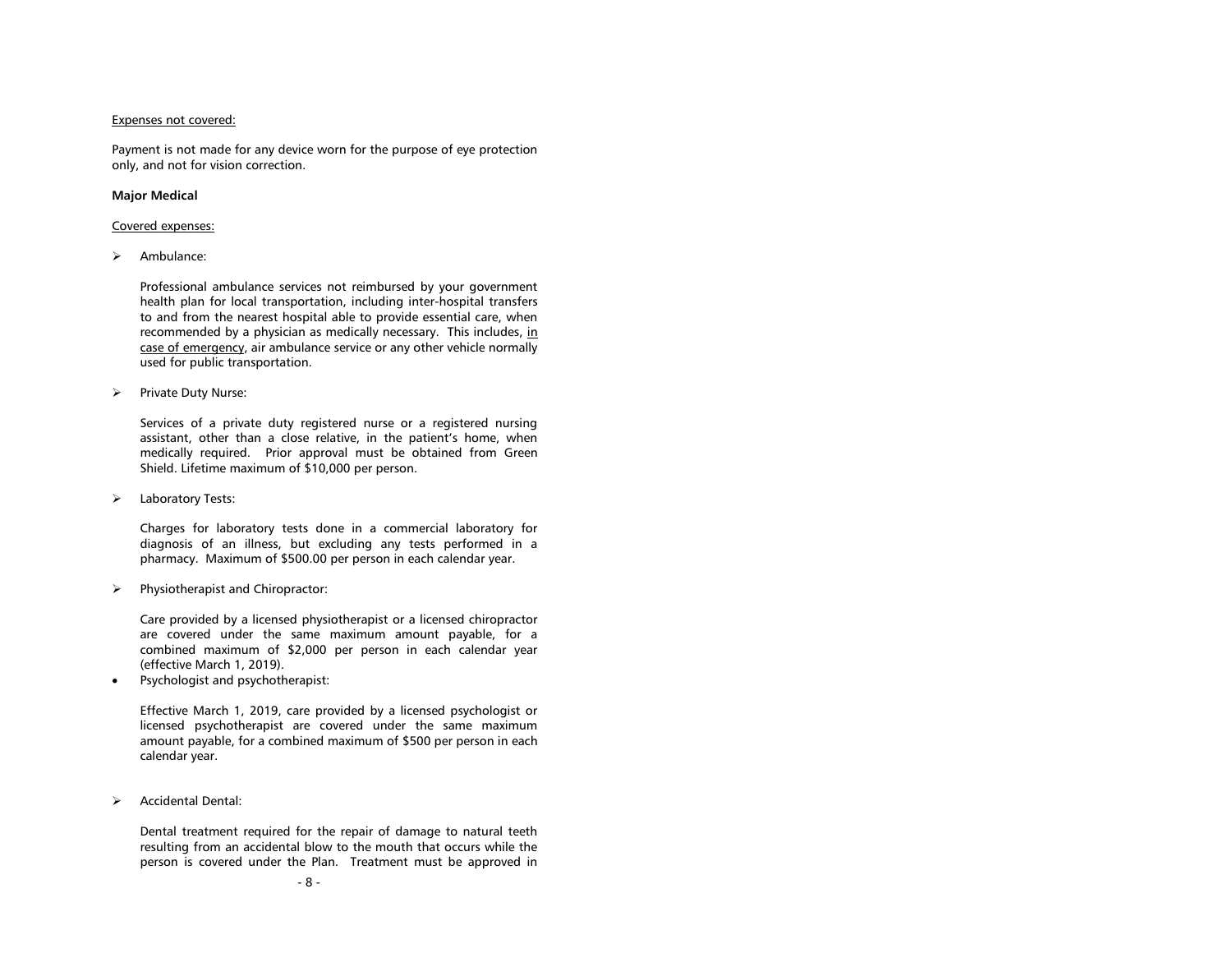## Expenses not covered:

Payment is not made for any device worn for the purpose of eye protection only, and not for vision correction.

# <span id="page-10-0"></span>**Major Medical**

#### Covered expenses:

> Ambulance:

Professional ambulance services not reimbursed by your government health plan for local transportation, including inter-hospital transfers to and from the nearest hospital able to provide essential care, when recommended by a physician as medically necessary. This includes, in case of emergency, air ambulance service or any other vehicle normally used for public transportation.

 $\triangleright$  Private Duty Nurse:

Services of a private duty registered nurse or a registered nursing assistant, other than a close relative, in the patient's home, when medically required. Prior approval must be obtained from Green Shield. Lifetime maximum of \$10,000 per person.

> Laboratory Tests:

Charges for laboratory tests done in a commercial laboratory for diagnosis of an illness, but excluding any tests performed in a pharmacy. Maximum of \$500.00 per person in each calendar year.

 $\triangleright$  Physiotherapist and Chiropractor:

Care provided by a licensed physiotherapist or a licensed chiropractor are covered under the same maximum amount payable, for a combined maximum of \$2,000 per person in each calendar year (effective March 1, 2019).

Psychologist and psychotherapist:

Effective March 1, 2019, care provided by a licensed psychologist or licensed psychotherapist are covered under the same maximum amount payable, for a combined maximum of \$500 per person in each calendar year.

> Accidental Dental:

Dental treatment required for the repair of damage to natural teeth resulting from an accidental blow to the mouth that occurs while the person is covered under the Plan. Treatment must be approved in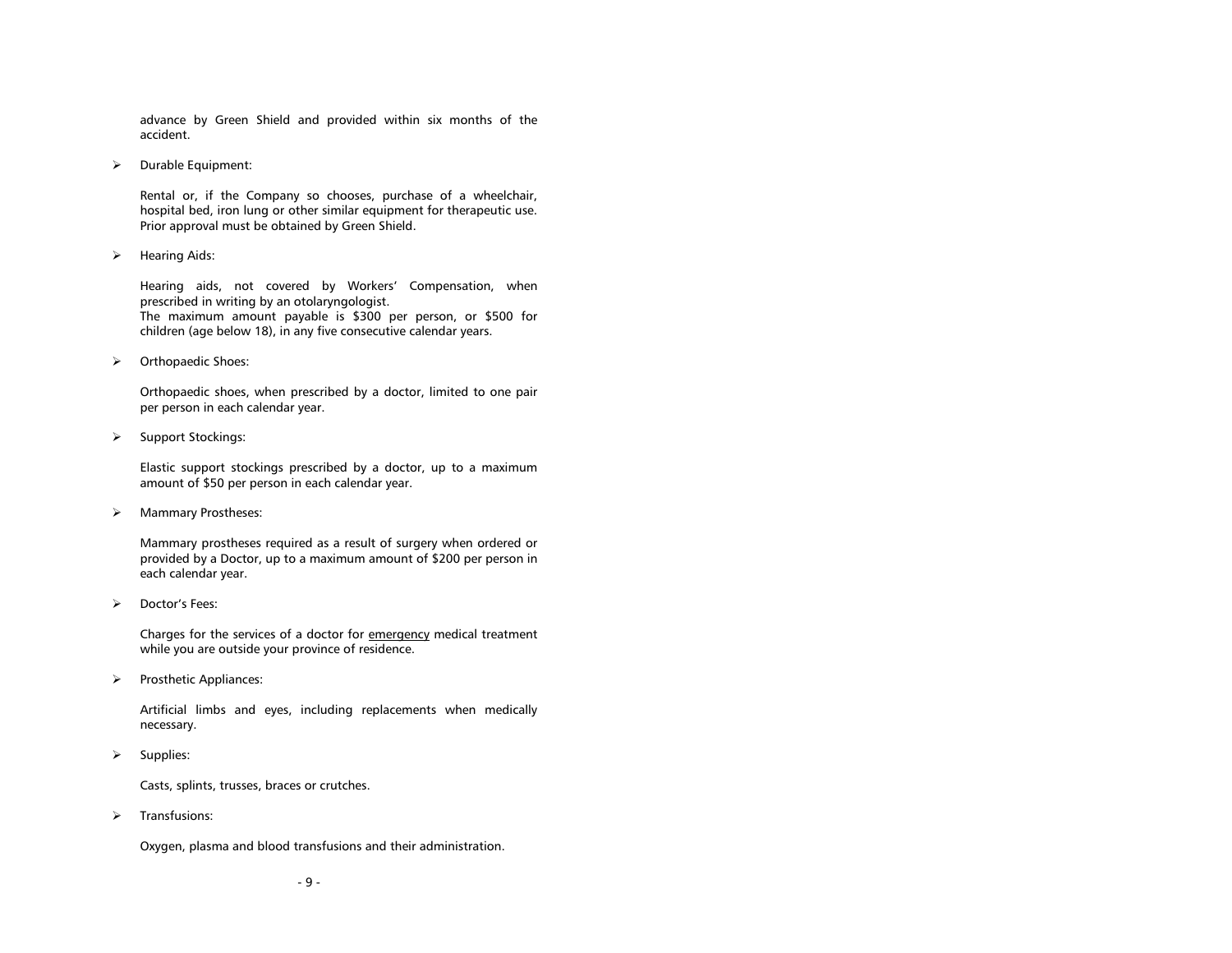advance by Green Shield and provided within six months of the accident.

 $\triangleright$  Durable Equipment:

Rental or, if the Company so chooses, purchase of a wheelchair, hospital bed, iron lung or other similar equipment for therapeutic use. Prior approval must be obtained by Green Shield.

 $\triangleright$  Hearing Aids:

Hearing aids, not covered by Workers' Compensation, when prescribed in writing by an otolaryngologist. The maximum amount payable is \$300 per person, or \$500 for children (age below 18), in any five consecutive calendar years.

> Orthopaedic Shoes:

Orthopaedic shoes, when prescribed by a doctor, limited to one pair per person in each calendar year.

 $\triangleright$  Support Stockings:

Elastic support stockings prescribed by a doctor, up to a maximum amount of \$50 per person in each calendar year.

> Mammary Prostheses:

Mammary prostheses required as a result of surgery when ordered or provided by a Doctor, up to a maximum amount of \$200 per person in each calendar year.

> Doctor's Fees:

Charges for the services of a doctor for emergency medical treatment while you are outside your province of residence.

 $\triangleright$  Prosthetic Appliances:

Artificial limbs and eyes, including replacements when medically necessary.

 $\triangleright$  Supplies:

Casts, splints, trusses, braces or crutches.

 $\triangleright$  Transfusions:

Oxygen, plasma and blood transfusions and their administration.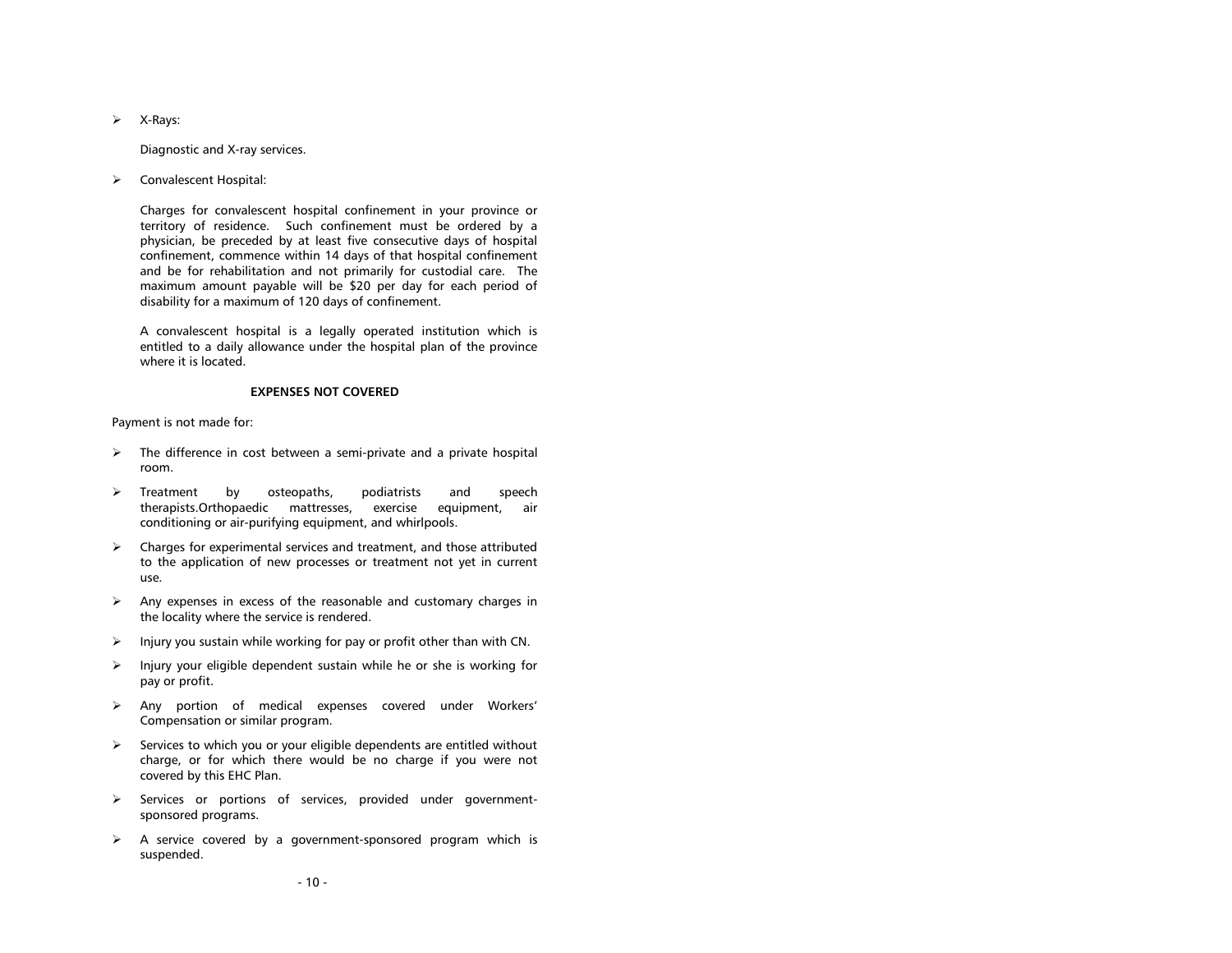$\triangleright$  X-Rays:

Diagnostic and X-ray services.

Convalescent Hospital:

Charges for convalescent hospital confinement in your province or territory of residence. Such confinement must be ordered by a physician, be preceded by at least five consecutive days of hospital confinement, commence within 14 days of that hospital confinement and be for rehabilitation and not primarily for custodial care. The maximum amount payable will be \$20 per day for each period of disability for a maximum of 120 days of confinement.

A convalescent hospital is a legally operated institution which is entitled to a daily allowance under the hospital plan of the province where it is located.

#### **EXPENSES NOT COVERED**

<span id="page-12-0"></span>Payment is not made for:

- $\triangleright$  The difference in cost between a semi-private and a private hospital room.
- > Treatment by osteopaths, podiatrists and speech therapists.Orthopaedic mattresses, exercise equipment, air conditioning or air-purifying equipment, and whirlpools.
- $\triangleright$  Charges for experimental services and treatment, and those attributed to the application of new processes or treatment not yet in current use.
- $\triangleright$  Any expenses in excess of the reasonable and customary charges in the locality where the service is rendered.
- $\triangleright$  Injury you sustain while working for pay or profit other than with CN.
- $\triangleright$  Injury your eligible dependent sustain while he or she is working for pay or profit.
- Any portion of medical expenses covered under Workers' Compensation or similar program.
- $\triangleright$  Services to which you or your eligible dependents are entitled without charge, or for which there would be no charge if you were not covered by this EHC Plan.
- $\triangleright$  Services or portions of services, provided under governmentsponsored programs.
- $\triangleright$  A service covered by a government-sponsored program which is suspended.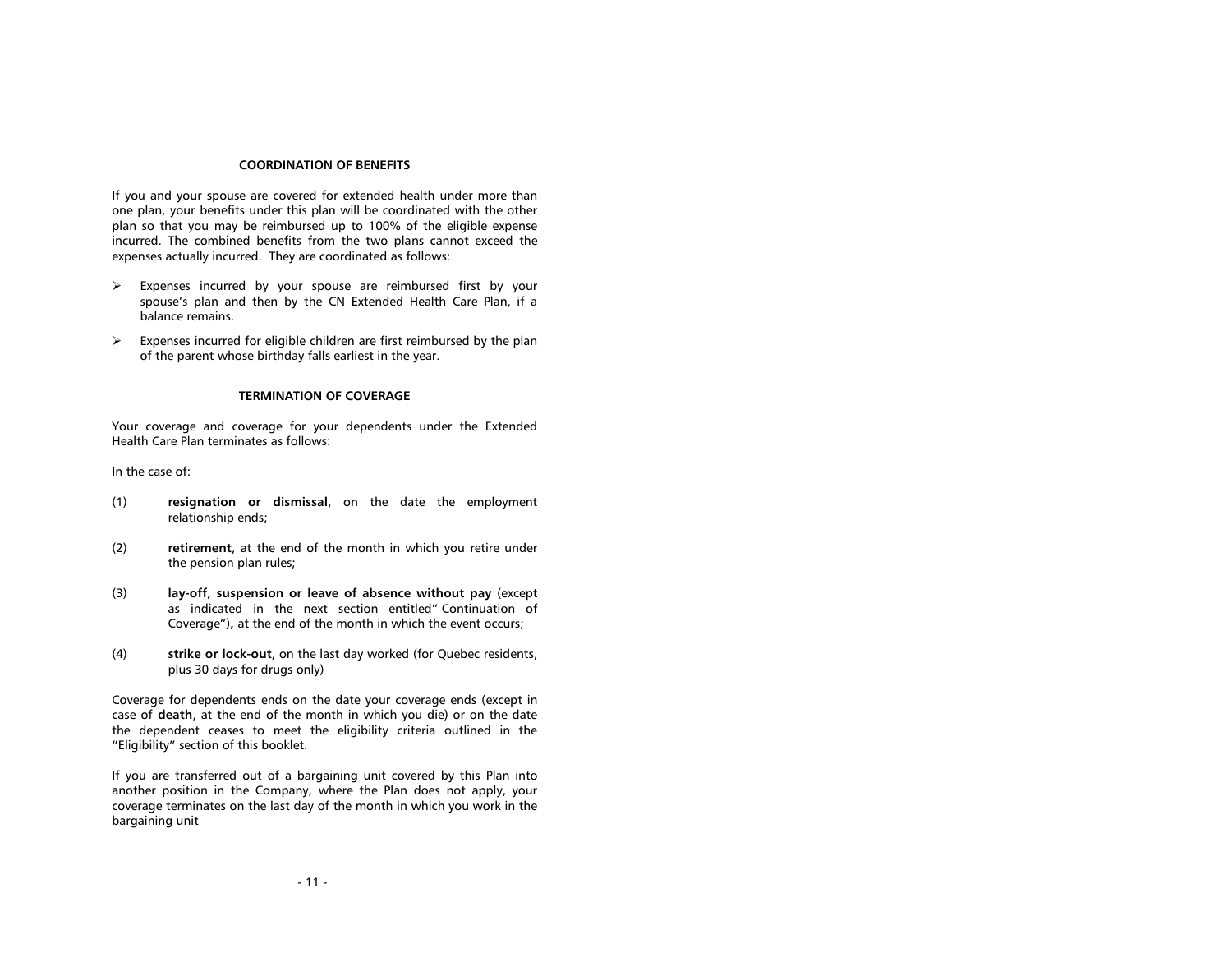#### **COORDINATION OF BENEFITS**

<span id="page-13-0"></span>If you and your spouse are covered for extended health under more than one plan, your benefits under this plan will be coordinated with the other plan so that you may be reimbursed up to 100% of the eligible expense incurred. The combined benefits from the two plans cannot exceed the expenses actually incurred. They are coordinated as follows:

- $\triangleright$  Expenses incurred by your spouse are reimbursed first by your spouse's plan and then by the CN Extended Health Care Plan, if a balance remains.
- $\triangleright$  Expenses incurred for eligible children are first reimbursed by the plan of the parent whose birthday falls earliest in the year.

#### **TERMINATION OF COVERAGE**

<span id="page-13-1"></span>Your coverage and coverage for your dependents under the Extended Health Care Plan terminates as follows:

In the case of:

- (1) **resignation or dismissal**, on the date the employment relationship ends;
- (2) **retirement**, at the end of the month in which you retire under the pension plan rules;
- (3) **lay-off, suspension or leave of absence without pay** (except as indicated in the next section entitled" Continuation of Coverage")**,** at the end of the month in which the event occurs;
- (4) **strike or lock-out**, on the last day worked (for Quebec residents, plus 30 days for drugs only)

Coverage for dependents ends on the date your coverage ends (except in case of **death**, at the end of the month in which you die) or on the date the dependent ceases to meet the eligibility criteria outlined in the "Eligibility" section of this booklet.

If you are transferred out of a bargaining unit covered by this Plan into another position in the Company, where the Plan does not apply, your coverage terminates on the last day of the month in which you work in the bargaining unit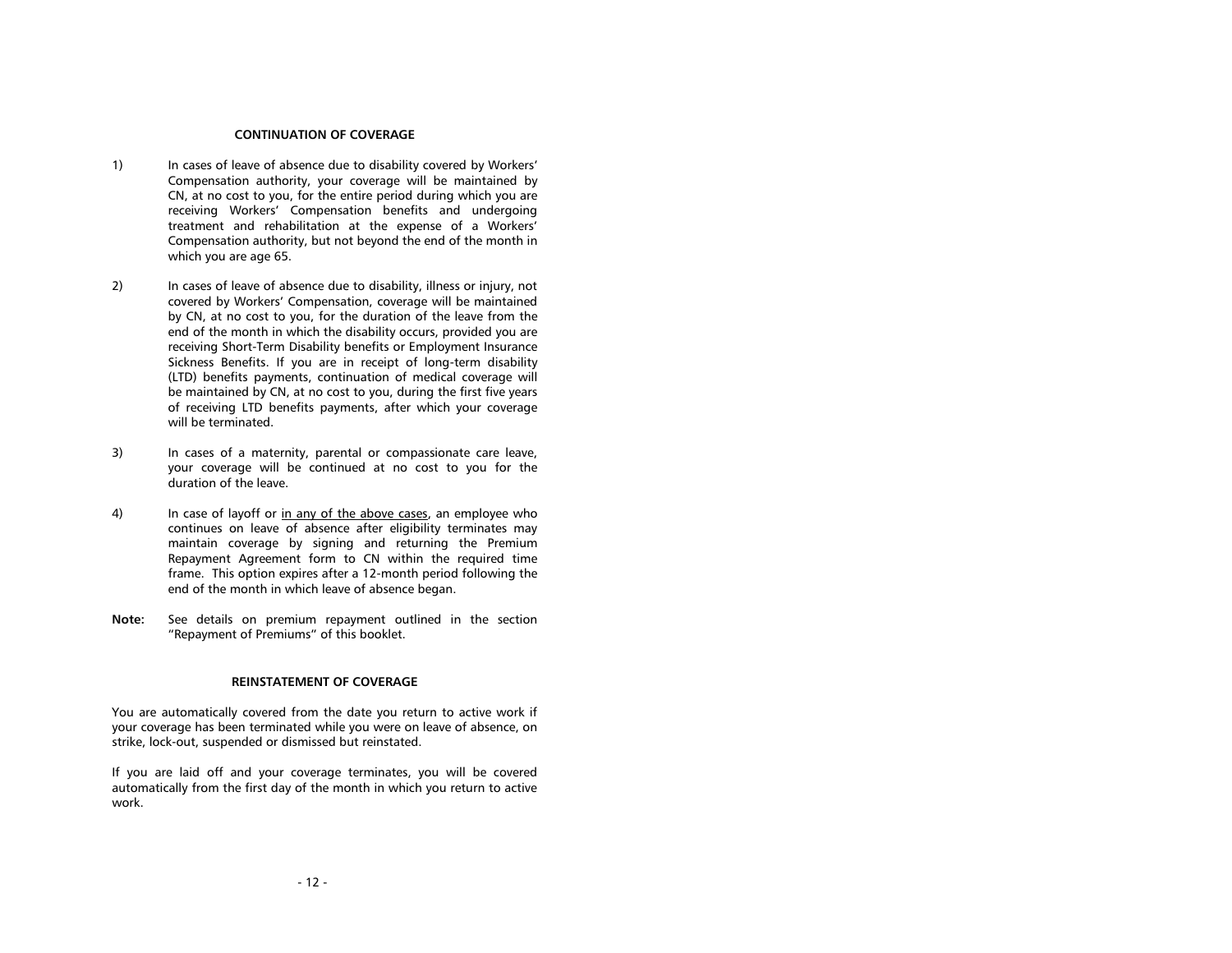## **CONTINUATION OF COVERAGE**

- <span id="page-14-0"></span>1) In cases of leave of absence due to disability covered by Workers' Compensation authority, your coverage will be maintained by CN, at no cost to you, for the entire period during which you are receiving Workers' Compensation benefits and undergoing treatment and rehabilitation at the expense of a Workers' Compensation authority, but not beyond the end of the month in which you are age 65.
- 2) In cases of leave of absence due to disability, illness or injury, not covered by Workers' Compensation, coverage will be maintained by CN, at no cost to you, for the duration of the leave from the end of the month in which the disability occurs, provided you are receiving Short-Term Disability benefits or Employment Insurance Sickness Benefits. If you are in receipt of long-term disability (LTD) benefits payments, continuation of medical coverage will be maintained by CN, at no cost to you, during the first five years of receiving LTD benefits payments, after which your coverage will be terminated.
- 3) In cases of a maternity, parental or compassionate care leave, your coverage will be continued at no cost to you for the duration of the leave.
- 4) In case of layoff or in any of the above cases, an employee who continues on leave of absence after eligibility terminates may maintain coverage by signing and returning the Premium Repayment Agreement form to CN within the required time frame. This option expires after a 12-month period following the end of the month in which leave of absence began.
- **Note:** See details on premium repayment outlined in the section "Repayment of Premiums" of this booklet.

#### **REINSTATEMENT OF COVERAGE**

<span id="page-14-1"></span>You are automatically covered from the date you return to active work if your coverage has been terminated while you were on leave of absence, on strike, lock-out, suspended or dismissed but reinstated.

If you are laid off and your coverage terminates, you will be covered automatically from the first day of the month in which you return to active work.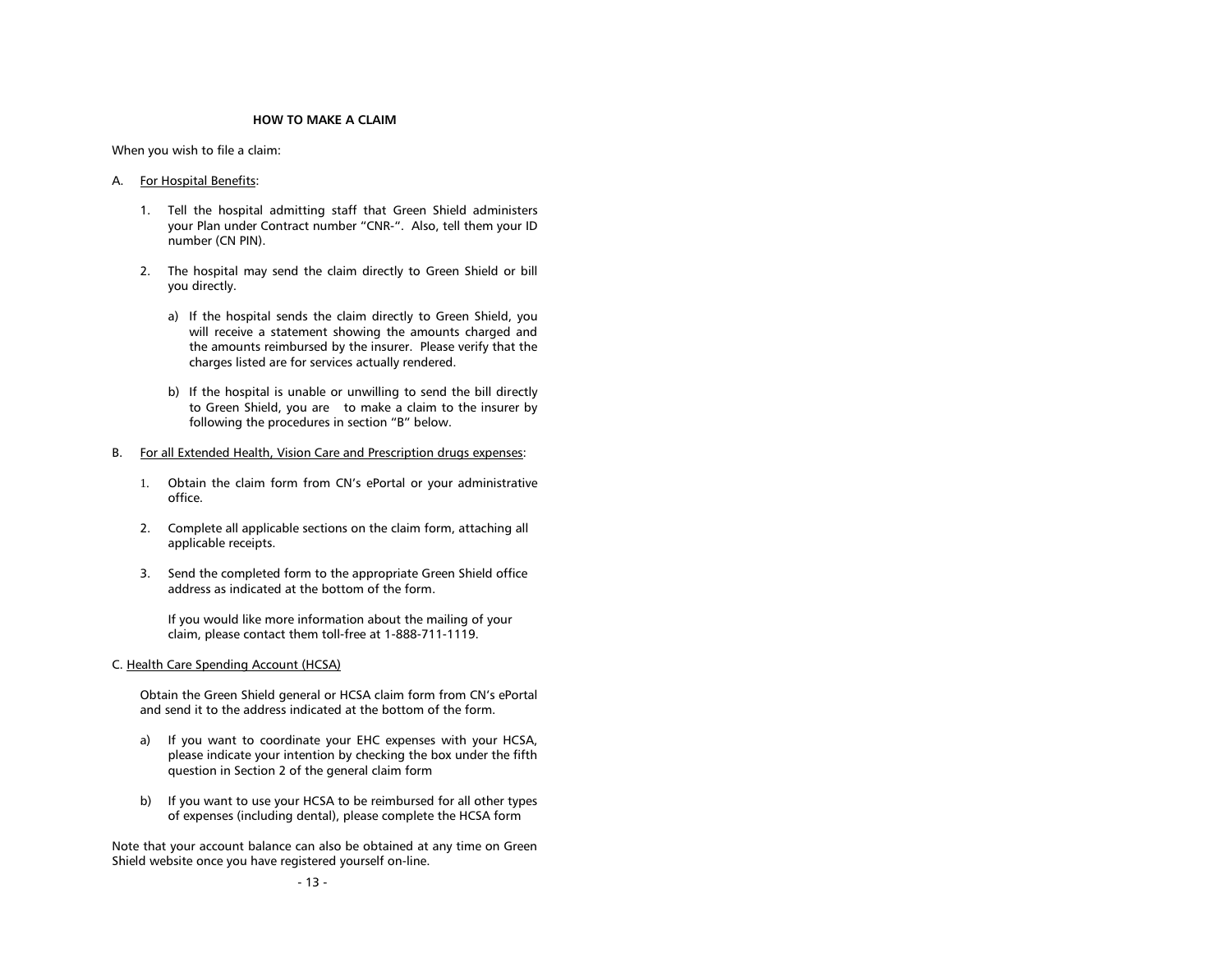#### **HOW TO MAKE A CLAIM**

<span id="page-15-0"></span>When you wish to file a claim:

#### A. For Hospital Benefits:

- 1. Tell the hospital admitting staff that Green Shield administers your Plan under Contract number "CNR-". Also, tell them your ID number (CN PIN).
- 2. The hospital may send the claim directly to Green Shield or bill you directly.
	- a) If the hospital sends the claim directly to Green Shield, you will receive a statement showing the amounts charged and the amounts reimbursed by the insurer. Please verify that the charges listed are for services actually rendered.
	- b) If the hospital is unable or unwilling to send the bill directly to Green Shield, you are to make a claim to the insurer by following the procedures in section "B" below.
- B. For all Extended Health, Vision Care and Prescription drugs expenses:
	- 1. Obtain the claim form from CN's ePortal or your administrative office.
	- 2. Complete all applicable sections on the claim form, attaching all applicable receipts.
	- 3. Send the completed form to the appropriate Green Shield office address as indicated at the bottom of the form.

If you would like more information about the mailing of your claim, please contact them toll-free at 1-888-711-1119.

C. Health Care Spending Account (HCSA)

Obtain the Green Shield general or HCSA claim form from CN's ePortal and send it to the address indicated at the bottom of the form.

- a) If you want to coordinate your EHC expenses with your HCSA, please indicate your intention by checking the box under the fifth question in Section 2 of the general claim form
- b) If you want to use your HCSA to be reimbursed for all other types of expenses (including dental), please complete the HCSA form

Note that your account balance can also be obtained at any time on Green Shield website once you have registered yourself on-line.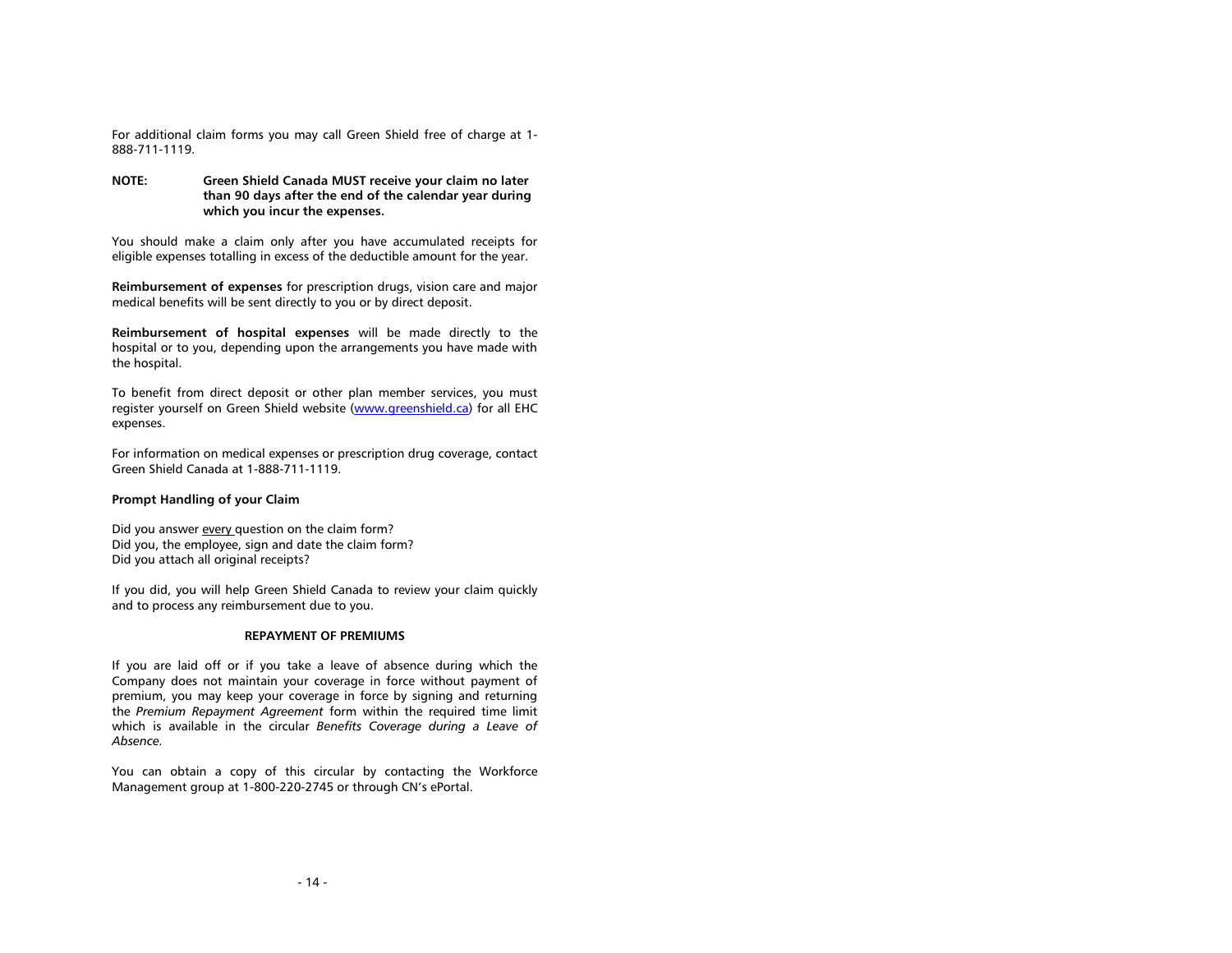For additional claim forms you may call Green Shield free of charge at 1- 888-711-1119.

**NOTE: Green Shield Canada MUST receive your claim no later than 90 days after the end of the calendar year during which you incur the expenses.**

You should make a claim only after you have accumulated receipts for eligible expenses totalling in excess of the deductible amount for the year.

**Reimbursement of expenses** for prescription drugs, vision care and major medical benefits will be sent directly to you or by direct deposit.

**Reimbursement of hospital expenses** will be made directly to the hospital or to you, depending upon the arrangements you have made with the hospital.

To benefit from direct deposit or other plan member services, you must register yourself on Green Shield website [\(www.greenshield.ca\)](http://www.greenshield.ca/) for all EHC expenses.

For information on medical expenses or prescription drug coverage, contact Green Shield Canada at 1-888-711-1119.

# **Prompt Handling of your Claim**

Did you answer every question on the claim form? Did you, the employee, sign and date the claim form? Did you attach all original receipts?

If you did, you will help Green Shield Canada to review your claim quickly and to process any reimbursement due to you.

# **REPAYMENT OF PREMIUMS**

<span id="page-16-0"></span>If you are laid off or if you take a leave of absence during which the Company does not maintain your coverage in force without payment of premium, you may keep your coverage in force by signing and returning the *Premium Repayment Agreement* form within the required time limit which is available in the circular *Benefits Coverage during a Leave of Absence.* 

You can obtain a copy of this circular by contacting the Workforce Management group at 1-800-220-2745 or through CN's ePortal.